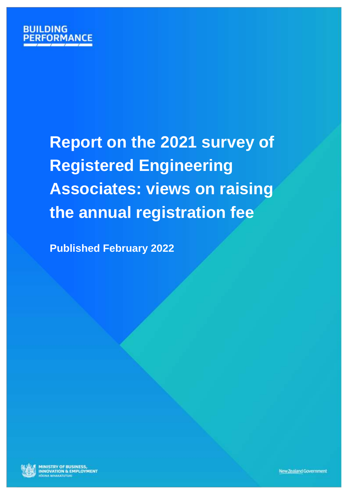

# **Report on the 2021 survey of Registered Engineering Associates: views on raising the annual registration fee**

**Published February 2022**



**MINISTRY OF BUSINESS,<br>INNOVATION & EMPLOYMENT BONA WHAKATUTUKI**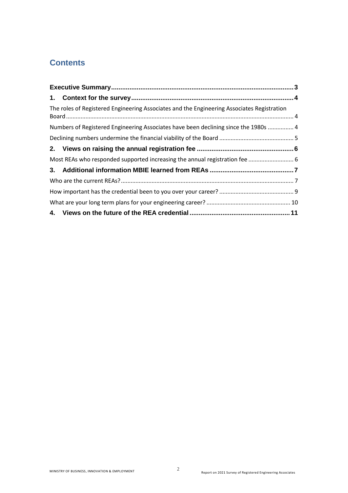# **Contents**

| The roles of Registered Engineering Associates and the Engineering Associates Registration |  |
|--------------------------------------------------------------------------------------------|--|
| Numbers of Registered Engineering Associates have been declining since the 1980s  4        |  |
|                                                                                            |  |
|                                                                                            |  |
| Most REAs who responded supported increasing the annual registration fee  6                |  |
|                                                                                            |  |
|                                                                                            |  |
|                                                                                            |  |
|                                                                                            |  |
|                                                                                            |  |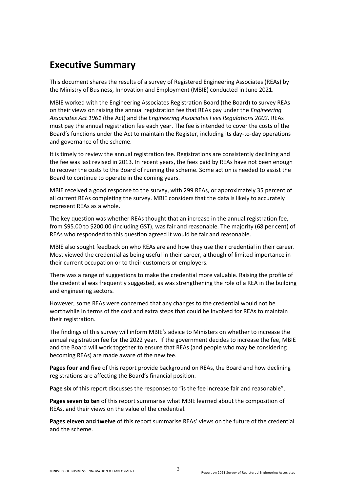# <span id="page-2-0"></span>**Executive Summary**

This document shares the results of a survey of Registered Engineering Associates (REAs) by the Ministry of Business, Innovation and Employment (MBIE) conducted in June 2021.

MBIE worked with the Engineering Associates Registration Board (the Board) to survey REAs on their views on raising the annual registration fee that REAs pay under the *Engineering Associates Act 1961* (the Act) and the *Engineering Associates Fees Regulations 2002*. REAs must pay the annual registration fee each year. The fee is intended to cover the costs of the Board's functions under the Act to maintain the Register, including its day-to-day operations and governance of the scheme.

It is timely to review the annual registration fee. Registrations are consistently declining and the fee was last revised in 2013. In recent years, the fees paid by REAs have not been enough to recover the costs to the Board of running the scheme. Some action is needed to assist the Board to continue to operate in the coming years.

MBIE received a good response to the survey, with 299 REAs, or approximately 35 percent of all current REAs completing the survey. MBIE considers that the data is likely to accurately represent REAs as a whole.

The key question was whether REAs thought that an increase in the annual registration fee, from \$95.00 to \$200.00 (including GST), was fair and reasonable. The majority (68 per cent) of REAs who responded to this question agreed it would be fair and reasonable.

MBIE also sought feedback on who REAs are and how they use their credential in their career. Most viewed the credential as being useful in their career, although of limited importance in their current occupation or to their customers or employers.

There was a range of suggestions to make the credential more valuable. Raising the profile of the credential was frequently suggested, as was strengthening the role of a REA in the building and engineering sectors.

However, some REAs were concerned that any changes to the credential would not be worthwhile in terms of the cost and extra steps that could be involved for REAs to maintain their registration.

The findings of this survey will inform MBIE's advice to Ministers on whether to increase the annual registration fee for the 2022 year. If the government decides to increase the fee, MBIE and the Board will work together to ensure that REAs (and people who may be considering becoming REAs) are made aware of the new fee.

**Pages four and five** of this report provide background on REAs, the Board and how declining registrations are affecting the Board's financial position.

**Page six** of this report discusses the responses to "is the fee increase fair and reasonable".

**Pages seven to ten** of this report summarise what MBIE learned about the composition of REAs, and their views on the value of the credential.

**Pages eleven and twelve** of this report summarise REAs' views on the future of the credential and the scheme.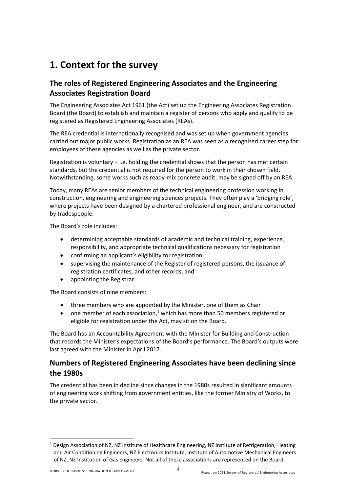# <span id="page-3-0"></span>**1. Context for the survey**

# <span id="page-3-1"></span>**The roles of Registered Engineering Associates and the Engineering Associates Registration Board**

The Engineering Associates Act 1961 (the Act) set up the Engineering Associates Registration Board (the Board) to establish and maintain a register of persons who apply and qualify to be registered as Registered Engineering Associates (REAs).

The REA credential is internationally recognised and was set up when government agencies carried out major public works. Registration as an REA was seen as a recognised career step for employees of these agencies as well as the private sector.

Registration is voluntary – i.e. holding the credential shows that the person has met certain standards, but the credential is not required for the person to work in their chosen field. Notwithstanding, some works such as ready-mix concrete audit, may be signed off by an REA.

Today, many REAs are senior members of the technical engineering profession working in construction, engineering and engineering sciences projects. They often play a 'bridging role', where projects have been designed by a chartered professional engineer, and are constructed by tradespeople.

The Board's role includes:

- determining acceptable standards of academic and technical training, experience, responsibility, and appropriate technical qualifications necessary for registration
- confirming an applicant's eligibility for registration
- supervising the maintenance of the Register of registered persons, the issuance of registration certificates, and other records, and
- appointing the Registrar.

The Board consists of nine members:

- three members who are appointed by the Minister, one of them as Chair
- one member of each association,<sup>1</sup> which has more than 50 members registered or eligible for registration under the Act, may sit on the Board.

The Board has an Accountability Agreement with the Minister for Building and Construction that records the Minister's expectations of the Board's performance. The Board's outputs were last agreed with the Minister in April 2017.

# <span id="page-3-2"></span>**Numbers of Registered Engineering Associates have been declining since the 1980s**

The credential has been in decline since changes in the 1980s resulted in significant amounts of engineering work shifting from government entities, like the former Ministry of Works, to the private sector.

1

 $1$  Design Association of NZ, NZ Institute of Healthcare Engineering, NZ Institute of Refrigeration, Heating and Air Conditioning Engineers, NZ Electronics Institute, Institute of Automotive Mechanical Engineers of NZ, NZ Institution of Gas Engineers. Not all of these associations are represented on the Board.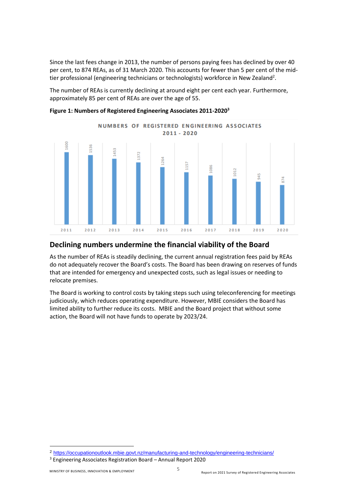Since the last fees change in 2013, the number of persons paying fees has declined by over 40 per cent, to 874 REAs, as of 31 March 2020. This accounts for fewer than 5 per cent of the midtier professional (engineering technicians or technologists) workforce in New Zealand<sup>2</sup>.

The number of REAs is currently declining at around eight per cent each year. Furthermore, approximately 85 per cent of REAs are over the age of 55.



**Figure 1: Numbers of Registered Engineering Associates 2011-2020<sup>3</sup>**

## <span id="page-4-0"></span>**Declining numbers undermine the financial viability of the Board**

As the number of REAs is steadily declining, the current annual registration fees paid by REAs do not adequately recover the Board's costs. The Board has been drawing on reserves of funds that are intended for emergency and unexpected costs, such as legal issues or needing to relocate premises.

The Board is working to control costs by taking steps such using teleconferencing for meetings judiciously, which reduces operating expenditure. However, MBIE considers the Board has limited ability to further reduce its costs. MBIE and the Board project that without some action, the Board will not have funds to operate by 2023/24.

1

<sup>2</sup> <https://occupationoutlook.mbie.govt.nz/manufacturing-and-technology/engineering-technicians/>

<sup>3</sup> Engineering Associates Registration Board – Annual Report 2020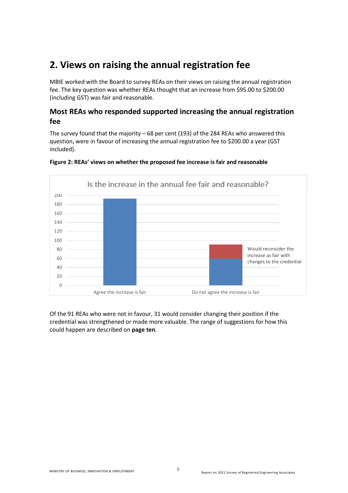# <span id="page-5-0"></span>**2. Views on raising the annual registration fee**

MBIE worked with the Board to survey REAs on their views on raising the annual registration fee. The key question was whether REAs thought that an increase from \$95.00 to \$200.00 (including GST) was fair and reasonable.

# <span id="page-5-1"></span>**Most REAs who responded supported increasing the annual registration fee**

The survey found that the majority  $-68$  per cent (193) of the 284 REAs who answered this question, were in favour of increasing the annual registration fee to \$200.00 a year (GST included).



## **Figure 2: REAs' views on whether the proposed fee increase is fair and reasonable**

Of the 91 REAs who were not in favour, 31 would consider changing their position if the credential was strengthened or made more valuable. The range of suggestions for how this could happen are described on **page ten**.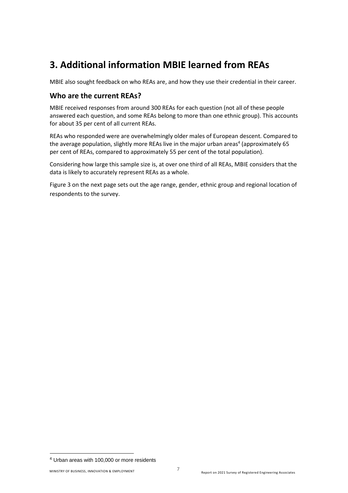# <span id="page-6-0"></span>**3. Additional information MBIE learned from REAs**

MBIE also sought feedback on who REAs are, and how they use their credential in their career.

# <span id="page-6-1"></span>**Who are the current REAs?**

MBIE received responses from around 300 REAs for each question (not all of these people answered each question, and some REAs belong to more than one ethnic group). This accounts for about 35 per cent of all current REAs.

REAs who responded were are overwhelmingly older males of European descent. Compared to the average population, slightly more REAs live in the major urban areas<sup>4</sup> (approximately 65 per cent of REAs, compared to approximately 55 per cent of the total population).

Considering how large this sample size is, at over one third of all REAs, MBIE considers that the data is likely to accurately represent REAs as a whole.

Figure 3 on the next page sets out the age range, gender, ethnic group and regional location of respondents to the survey.

**.** 

<sup>4</sup> Urban areas with 100,000 or more residents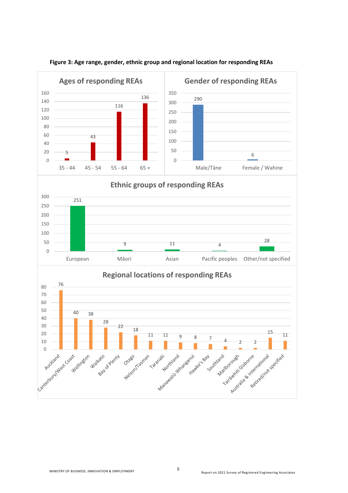

#### **Figure 3: Age range, gender, ethnic group and regional location for responding REAs**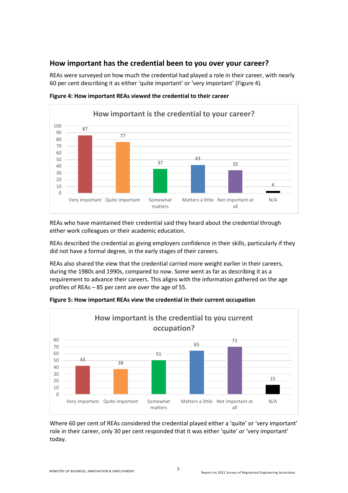# <span id="page-8-0"></span>**How important has the credential been to you over your career?**

REAs were surveyed on how much the credential had played a role in their career, with nearly 60 per cent describing it as either 'quite important' or 'very important' (Figure 4).



**Figure 4: How important REAs viewed the credential to their career**

REAs who have maintained their credential said they heard about the credential through either work colleagues or their academic education.

REAs described the credential as giving employers confidence in their skills, particularly if they did not have a formal degree, in the early stages of their careers.

REAs also shared the view that the credential carried more weight earlier in their careers, during the 1980s and 1990s, compared to now. Some went as far as describing it as a requirement to advance their careers. This aligns with the information gathered on the age profiles of REAs – 85 per cent are over the age of 55.



**Figure 5: How important REAs view the credential in their current occupation**

Where 60 per cent of REAs considered the credential played either a 'quite' or 'very important' role in their career, only 30 per cent responded that it was either 'quite' or 'very important' today.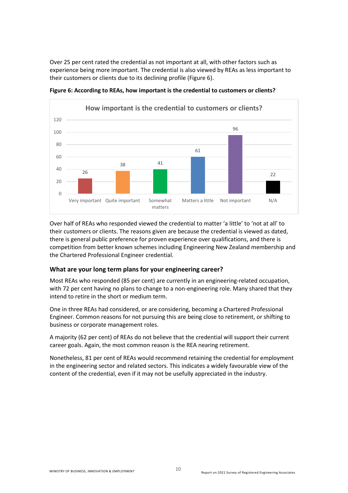Over 25 per cent rated the credential as not important at all, with other factors such as experience being more important. The credential is also viewed by REAs as less important to their customers or clients due to its declining profile (Figure 6).



**Figure 6: According to REAs, how important is the credential to customers or clients?**

Over half of REAs who responded viewed the credential to matter 'a little' to 'not at all' to their customers or clients. The reasons given are because the credential is viewed as dated, there is general public preference for proven experience over qualifications, and there is competition from better known schemes including Engineering New Zealand membership and the Chartered Professional Engineer credential.

## <span id="page-9-0"></span>**What are your long term plans for your engineering career?**

Most REAs who responded (85 per cent) are currently in an engineering-related occupation, with 72 per cent having no plans to change to a non-engineering role. Many shared that they intend to retire in the short or medium term.

One in three REAs had considered, or are considering, becoming a Chartered Professional Engineer. Common reasons for not pursuing this are being close to retirement, or shifting to business or corporate management roles.

A majority (62 per cent) of REAs do not believe that the credential will support their current career goals. Again, the most common reason is the REA nearing retirement.

Nonetheless, 81 per cent of REAs would recommend retaining the credential for employment in the engineering sector and related sectors. This indicates a widely favourable view of the content of the credential, even if it may not be usefully appreciated in the industry.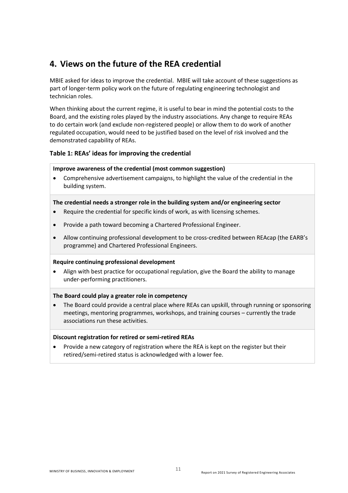# <span id="page-10-0"></span>**4. Views on the future of the REA credential**

MBIE asked for ideas to improve the credential. MBIE will take account of these suggestions as part of longer-term policy work on the future of regulating engineering technologist and technician roles.

When thinking about the current regime, it is useful to bear in mind the potential costs to the Board, and the existing roles played by the industry associations. Any change to require REAs to do certain work (and exclude non-registered people) or allow them to do work of another regulated occupation, would need to be justified based on the level of risk involved and the demonstrated capability of REAs.

## **Table 1: REAs' ideas for improving the credential**

#### **Improve awareness of the credential (most common suggestion)**

 Comprehensive advertisement campaigns, to highlight the value of the credential in the building system.

#### **The credential needs a stronger role in the building system and/or engineering sector**

- Require the credential for specific kinds of work, as with licensing schemes.
- Provide a path toward becoming a Chartered Professional Engineer.
- Allow continuing professional development to be cross-credited between REAcap (the EARB's programme) and Chartered Professional Engineers.

## **Require continuing professional development**

 Align with best practice for occupational regulation, give the Board the ability to manage under-performing practitioners.

## **The Board could play a greater role in competency**

 The Board could provide a central place where REAs can upskill, through running or sponsoring meetings, mentoring programmes, workshops, and training courses – currently the trade associations run these activities.

## **Discount registration for retired or semi-retired REAs**

 Provide a new category of registration where the REA is kept on the register but their retired/semi-retired status is acknowledged with a lower fee.